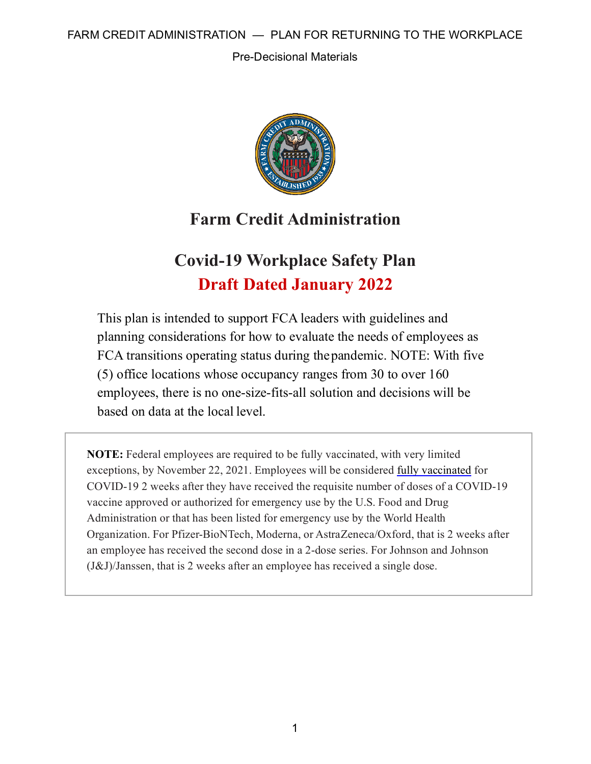Pre-Decisional Materials



# **Farm Credit Administration**

# **Covid-19 Workplace Safety Plan Draft Dated January 2022**

This plan is intended to support FCA leaders with guidelines and planning considerations for how to evaluate the needs of employees as FCA transitions operating status during thepandemic. NOTE: With five (5) office locations whose occupancy ranges from 30 to over 160 employees, there is no one-size-fits-all solution and decisions will be based on data at the local level.

**NOTE:** Federal employees are required to be fully vaccinated, with very limited exceptions, by November 22, 2021. Employees will be considered [fully vaccinated](https://www.cdc.gov/coronavirus/2019-ncov/vaccines/stay-up-to-date.html) for COVID-19 2 weeks after they have received the requisite number of doses of a COVID-19 vaccine approved or authorized for emergency use by the U.S. Food and Drug Administration or that has been listed for emergency use by the World Health Organization. For Pfizer-BioNTech, Moderna, or AstraZeneca/Oxford, that is 2 weeks after an employee has received the second dose in a 2-dose series. For Johnson and Johnson (J&J)/Janssen, that is 2 weeks after an employee has received a single dose.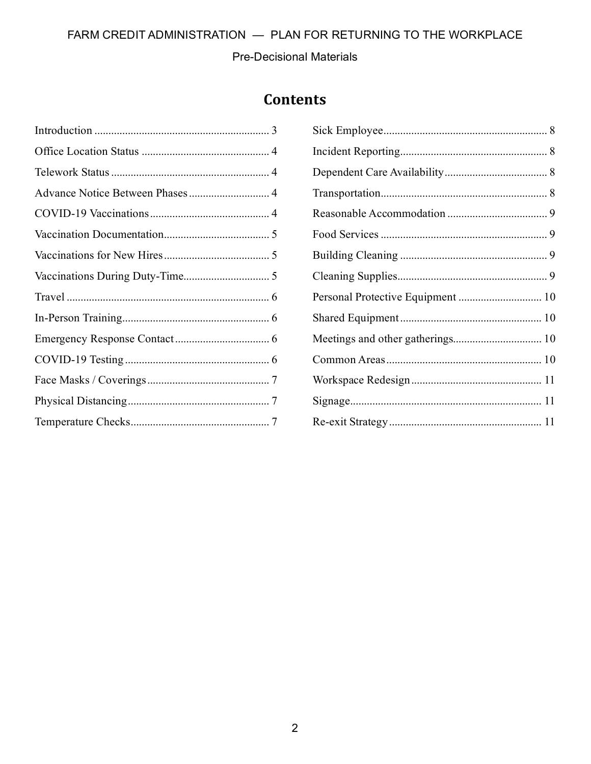Pre-Decisional Materials

# **Contents**

| Advance Notice Between Phases 4 |  |
|---------------------------------|--|
|                                 |  |
|                                 |  |
|                                 |  |
|                                 |  |
|                                 |  |
|                                 |  |
|                                 |  |
|                                 |  |
|                                 |  |
|                                 |  |
|                                 |  |
|                                 |  |

| Personal Protective Equipment  10 |  |
|-----------------------------------|--|
|                                   |  |
|                                   |  |
|                                   |  |
|                                   |  |
|                                   |  |
|                                   |  |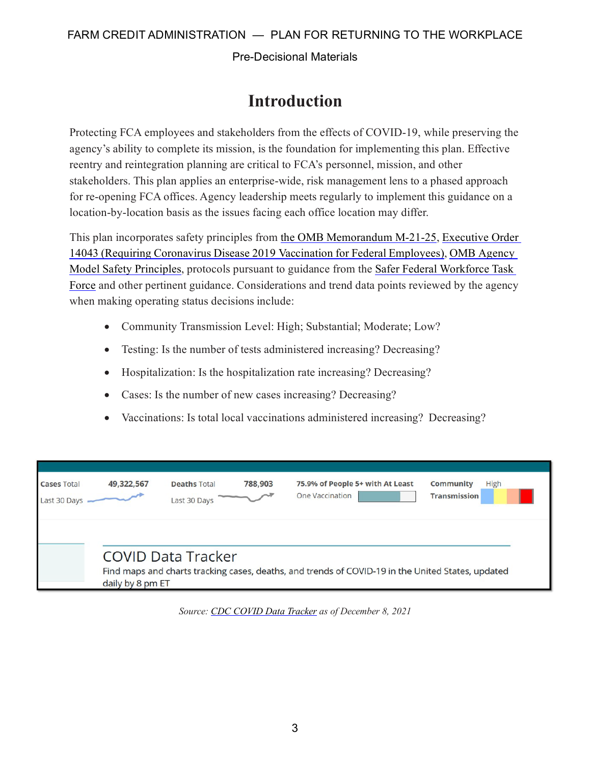Pre-Decisional Materials

# **Introduction**

<span id="page-2-0"></span>Protecting FCA employees and stakeholders from the effects of COVID-19, while preserving the agency's ability to complete its mission, is the foundation for implementing this plan. Effective reentry and reintegration planning are critical to FCA's personnel, mission, and other stakeholders. This plan applies an enterprise-wide, risk management lens to a phased approach for re-opening FCA offices. Agency leadership meets regularly to implement this guidance on a location-by-location basis as the issues facing each office location may differ.

This plan incorporates safety principles from [the OMB Memorandum M-21-25,](https://www.whitehouse.gov/wp-content/uploads/2021/06/M-21-25.pdf) [Executive Order](https://www.whitehouse.gov/briefing-room/presidential-actions/2021/09/09/executive-order-on-requiring-coronavirus-disease-2019-vaccination-for-federal-employees/)  14043 (Requiring Coronavirus Disease 2019 [Vaccination for Federal Employees\),](https://www.whitehouse.gov/briefing-room/presidential-actions/2021/09/09/executive-order-on-requiring-coronavirus-disease-2019-vaccination-for-federal-employees/) OMB [Agency](https://www.saferfederalworkforce.gov/downloads/updates%20to%20model%20safety%20principles%209.13.21.pdf)  [Model Safety Principles,](https://www.saferfederalworkforce.gov/downloads/updates%20to%20model%20safety%20principles%209.13.21.pdf) protocols pursuant to guidance from the [Safer Federal Workforce Task](https://www.saferfederalworkforce.gov/new/)  [Force](https://www.saferfederalworkforce.gov/new/) and other pertinent guidance. Considerations and trend data points reviewed by the agency when making operating status decisions include:

- Community Transmission Level: High; Substantial; Moderate; Low?
- Testing: Is the number of tests administered increasing? Decreasing?
- Hospitalization: Is the hospitalization rate increasing? Decreasing?
- Cases: Is the number of new cases increasing? Decreasing?
- Vaccinations: Is total local vaccinations administered increasing? Decreasing?

| <b>Cases Total</b><br>Last 30 Days | 49,322,567       | <b>Deaths Total</b><br>Last 30 Days | 788,903 | 75.9% of People 5+ with At Least<br><b>One Vaccination</b>                                        | Community<br><b>High</b><br><b>Transmission</b> |
|------------------------------------|------------------|-------------------------------------|---------|---------------------------------------------------------------------------------------------------|-------------------------------------------------|
|                                    | daily by 8 pm ET | <b>COVID Data Tracker</b>           |         | Find maps and charts tracking cases, deaths, and trends of COVID-19 in the United States, updated |                                                 |

*Source: [CDC COVID Data Tracker a](https://covid.cdc.gov/covid-data-tracker/#datatracker-home)s of December 8, 2021*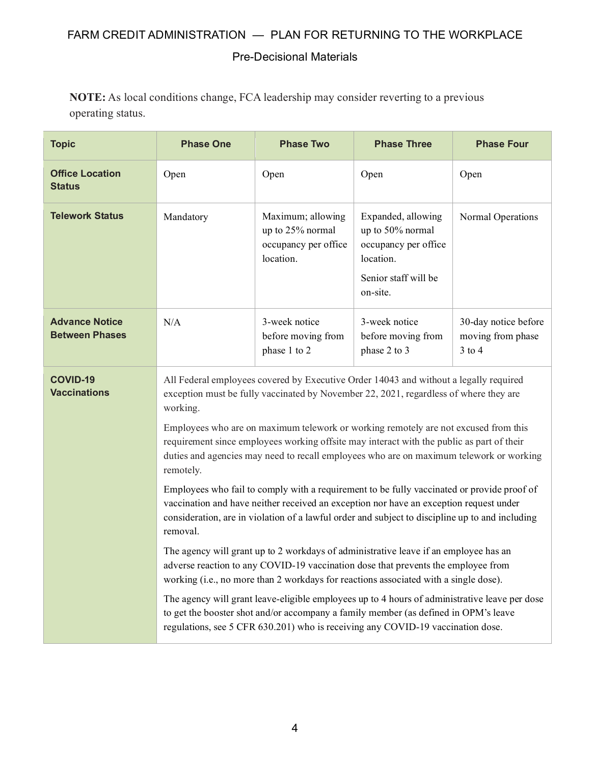#### Pre-Decisional Materials

**NOTE:** As local conditions change, FCA leadership may consider reverting to a previous operating status.

<span id="page-3-3"></span><span id="page-3-2"></span><span id="page-3-1"></span><span id="page-3-0"></span>

| <b>Topic</b>                                   | <b>Phase One</b>                                                                                                                                                                                                                                                                                                                                                                                                                                                                                                                                                                                                                                                                                                                                                                                                                                                                                                                                                                                                                                                                                                                                                                                                                                                                                                                              | <b>Phase Two</b>                                                           | <b>Phase Three</b>                                                                                              | <b>Phase Four</b>                                       |
|------------------------------------------------|-----------------------------------------------------------------------------------------------------------------------------------------------------------------------------------------------------------------------------------------------------------------------------------------------------------------------------------------------------------------------------------------------------------------------------------------------------------------------------------------------------------------------------------------------------------------------------------------------------------------------------------------------------------------------------------------------------------------------------------------------------------------------------------------------------------------------------------------------------------------------------------------------------------------------------------------------------------------------------------------------------------------------------------------------------------------------------------------------------------------------------------------------------------------------------------------------------------------------------------------------------------------------------------------------------------------------------------------------|----------------------------------------------------------------------------|-----------------------------------------------------------------------------------------------------------------|---------------------------------------------------------|
| <b>Office Location</b><br><b>Status</b>        | Open                                                                                                                                                                                                                                                                                                                                                                                                                                                                                                                                                                                                                                                                                                                                                                                                                                                                                                                                                                                                                                                                                                                                                                                                                                                                                                                                          | Open                                                                       | Open                                                                                                            | Open                                                    |
| <b>Telework Status</b>                         | Mandatory                                                                                                                                                                                                                                                                                                                                                                                                                                                                                                                                                                                                                                                                                                                                                                                                                                                                                                                                                                                                                                                                                                                                                                                                                                                                                                                                     | Maximum; allowing<br>up to 25% normal<br>occupancy per office<br>location. | Expanded, allowing<br>up to 50% normal<br>occupancy per office<br>location.<br>Senior staff will be<br>on-site. | Normal Operations                                       |
| <b>Advance Notice</b><br><b>Between Phases</b> | N/A                                                                                                                                                                                                                                                                                                                                                                                                                                                                                                                                                                                                                                                                                                                                                                                                                                                                                                                                                                                                                                                                                                                                                                                                                                                                                                                                           | 3-week notice<br>before moving from<br>phase 1 to 2                        | 3-week notice<br>before moving from<br>phase 2 to 3                                                             | 30-day notice before<br>moving from phase<br>$3$ to $4$ |
| <b>COVID-19</b><br><b>Vaccinations</b>         | All Federal employees covered by Executive Order 14043 and without a legally required<br>exception must be fully vaccinated by November 22, 2021, regardless of where they are<br>working.<br>Employees who are on maximum telework or working remotely are not excused from this<br>requirement since employees working offsite may interact with the public as part of their<br>duties and agencies may need to recall employees who are on maximum telework or working<br>remotely.<br>Employees who fail to comply with a requirement to be fully vaccinated or provide proof of<br>vaccination and have neither received an exception nor have an exception request under<br>consideration, are in violation of a lawful order and subject to discipline up to and including<br>removal.<br>The agency will grant up to 2 workdays of administrative leave if an employee has an<br>adverse reaction to any COVID-19 vaccination dose that prevents the employee from<br>working (i.e., no more than 2 workdays for reactions associated with a single dose).<br>The agency will grant leave-eligible employees up to 4 hours of administrative leave per dose<br>to get the booster shot and/or accompany a family member (as defined in OPM's leave<br>regulations, see 5 CFR 630.201) who is receiving any COVID-19 vaccination dose. |                                                                            |                                                                                                                 |                                                         |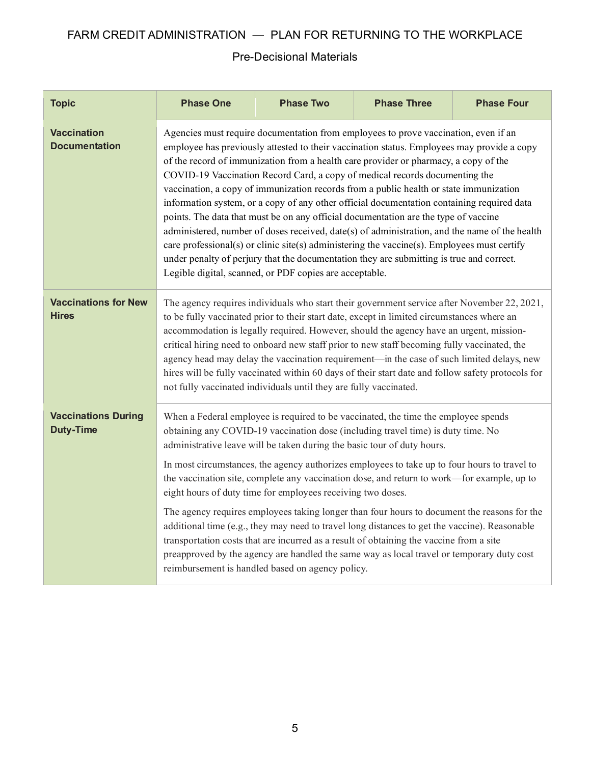<span id="page-4-2"></span><span id="page-4-1"></span><span id="page-4-0"></span>

| <b>Topic</b>                                   | <b>Phase One</b>                                                                                                                                                                                                                                                                                                                                                                                                                                                                                                                                                                                                                                                                                                                                                                                                                                                                                                                                                                               | <b>Phase Two</b>                                                                                                                       | <b>Phase Three</b>                                                                                                                                                                                                                                                                                                                                                                                                                                                  | <b>Phase Four</b> |
|------------------------------------------------|------------------------------------------------------------------------------------------------------------------------------------------------------------------------------------------------------------------------------------------------------------------------------------------------------------------------------------------------------------------------------------------------------------------------------------------------------------------------------------------------------------------------------------------------------------------------------------------------------------------------------------------------------------------------------------------------------------------------------------------------------------------------------------------------------------------------------------------------------------------------------------------------------------------------------------------------------------------------------------------------|----------------------------------------------------------------------------------------------------------------------------------------|---------------------------------------------------------------------------------------------------------------------------------------------------------------------------------------------------------------------------------------------------------------------------------------------------------------------------------------------------------------------------------------------------------------------------------------------------------------------|-------------------|
| <b>Vaccination</b><br><b>Documentation</b>     | Agencies must require documentation from employees to prove vaccination, even if an<br>employee has previously attested to their vaccination status. Employees may provide a copy<br>of the record of immunization from a health care provider or pharmacy, a copy of the<br>COVID-19 Vaccination Record Card, a copy of medical records documenting the<br>vaccination, a copy of immunization records from a public health or state immunization<br>information system, or a copy of any other official documentation containing required data<br>points. The data that must be on any official documentation are the type of vaccine<br>administered, number of doses received, date(s) of administration, and the name of the health<br>care professional(s) or clinic site(s) administering the vaccine(s). Employees must certify<br>under penalty of perjury that the documentation they are submitting is true and correct.<br>Legible digital, scanned, or PDF copies are acceptable. |                                                                                                                                        |                                                                                                                                                                                                                                                                                                                                                                                                                                                                     |                   |
| <b>Vaccinations for New</b><br><b>Hires</b>    | The agency requires individuals who start their government service after November 22, 2021,<br>to be fully vaccinated prior to their start date, except in limited circumstances where an<br>accommodation is legally required. However, should the agency have an urgent, mission-<br>critical hiring need to onboard new staff prior to new staff becoming fully vaccinated, the<br>agency head may delay the vaccination requirement-in the case of such limited delays, new<br>hires will be fully vaccinated within 60 days of their start date and follow safety protocols for<br>not fully vaccinated individuals until they are fully vaccinated.                                                                                                                                                                                                                                                                                                                                      |                                                                                                                                        |                                                                                                                                                                                                                                                                                                                                                                                                                                                                     |                   |
| <b>Vaccinations During</b><br><b>Duty-Time</b> |                                                                                                                                                                                                                                                                                                                                                                                                                                                                                                                                                                                                                                                                                                                                                                                                                                                                                                                                                                                                | administrative leave will be taken during the basic tour of duty hours.<br>eight hours of duty time for employees receiving two doses. | When a Federal employee is required to be vaccinated, the time the employee spends<br>obtaining any COVID-19 vaccination dose (including travel time) is duty time. No<br>In most circumstances, the agency authorizes employees to take up to four hours to travel to<br>the vaccination site, complete any vaccination dose, and return to work—for example, up to<br>The agency requires employees taking longer than four hours to document the reasons for the |                   |
|                                                | additional time (e.g., they may need to travel long distances to get the vaccine). Reasonable<br>transportation costs that are incurred as a result of obtaining the vaccine from a site<br>preapproved by the agency are handled the same way as local travel or temporary duty cost<br>reimbursement is handled based on agency policy.                                                                                                                                                                                                                                                                                                                                                                                                                                                                                                                                                                                                                                                      |                                                                                                                                        |                                                                                                                                                                                                                                                                                                                                                                                                                                                                     |                   |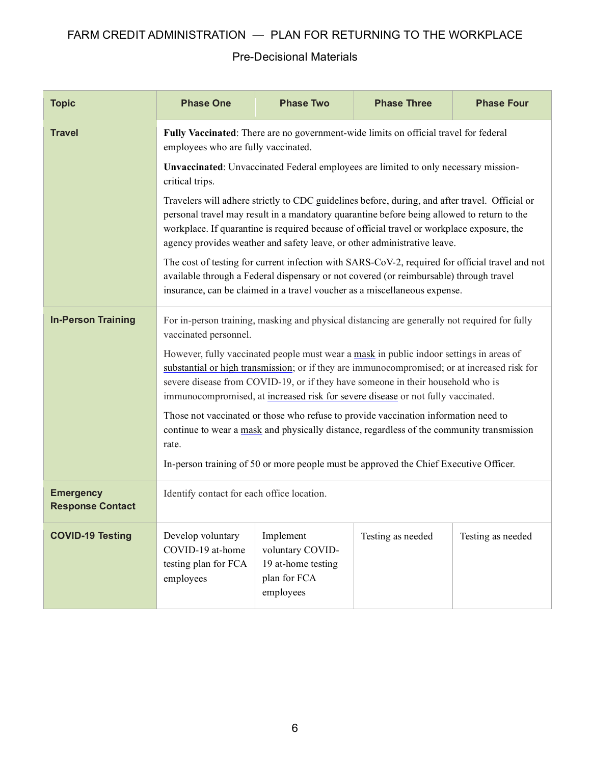<span id="page-5-3"></span><span id="page-5-2"></span><span id="page-5-1"></span><span id="page-5-0"></span>

| <b>Topic</b>                                | <b>Phase One</b>                                                                                                                                                                                                                                                                                                                                                       | <b>Phase Two</b>                                                                 | <b>Phase Three</b>                                                                  | <b>Phase Four</b> |  |
|---------------------------------------------|------------------------------------------------------------------------------------------------------------------------------------------------------------------------------------------------------------------------------------------------------------------------------------------------------------------------------------------------------------------------|----------------------------------------------------------------------------------|-------------------------------------------------------------------------------------|-------------------|--|
| <b>Travel</b>                               | Fully Vaccinated: There are no government-wide limits on official travel for federal<br>employees who are fully vaccinated.                                                                                                                                                                                                                                            |                                                                                  |                                                                                     |                   |  |
|                                             | critical trips.                                                                                                                                                                                                                                                                                                                                                        |                                                                                  | Unvaccinated: Unvaccinated Federal employees are limited to only necessary mission- |                   |  |
|                                             | Travelers will adhere strictly to CDC guidelines before, during, and after travel. Official or<br>personal travel may result in a mandatory quarantine before being allowed to return to the<br>workplace. If quarantine is required because of official travel or workplace exposure, the<br>agency provides weather and safety leave, or other administrative leave. |                                                                                  |                                                                                     |                   |  |
|                                             | The cost of testing for current infection with SARS-CoV-2, required for official travel and not<br>available through a Federal dispensary or not covered (or reimbursable) through travel<br>insurance, can be claimed in a travel voucher as a miscellaneous expense.                                                                                                 |                                                                                  |                                                                                     |                   |  |
| <b>In-Person Training</b>                   | For in-person training, masking and physical distancing are generally not required for fully<br>vaccinated personnel.                                                                                                                                                                                                                                                  |                                                                                  |                                                                                     |                   |  |
|                                             | However, fully vaccinated people must wear a mask in public indoor settings in areas of<br>substantial or high transmission; or if they are immunocompromised; or at increased risk for<br>severe disease from COVID-19, or if they have someone in their household who is<br>immunocompromised, at increased risk for severe disease or not fully vaccinated.         |                                                                                  |                                                                                     |                   |  |
|                                             | Those not vaccinated or those who refuse to provide vaccination information need to<br>continue to wear a mask and physically distance, regardless of the community transmission<br>rate.<br>In-person training of 50 or more people must be approved the Chief Executive Officer.                                                                                     |                                                                                  |                                                                                     |                   |  |
| <b>Emergency</b><br><b>Response Contact</b> | Identify contact for each office location.                                                                                                                                                                                                                                                                                                                             |                                                                                  |                                                                                     |                   |  |
| <b>COVID-19 Testing</b>                     | Develop voluntary<br>COVID-19 at-home<br>testing plan for FCA<br>employees                                                                                                                                                                                                                                                                                             | Implement<br>voluntary COVID-<br>19 at-home testing<br>plan for FCA<br>employees | Testing as needed                                                                   | Testing as needed |  |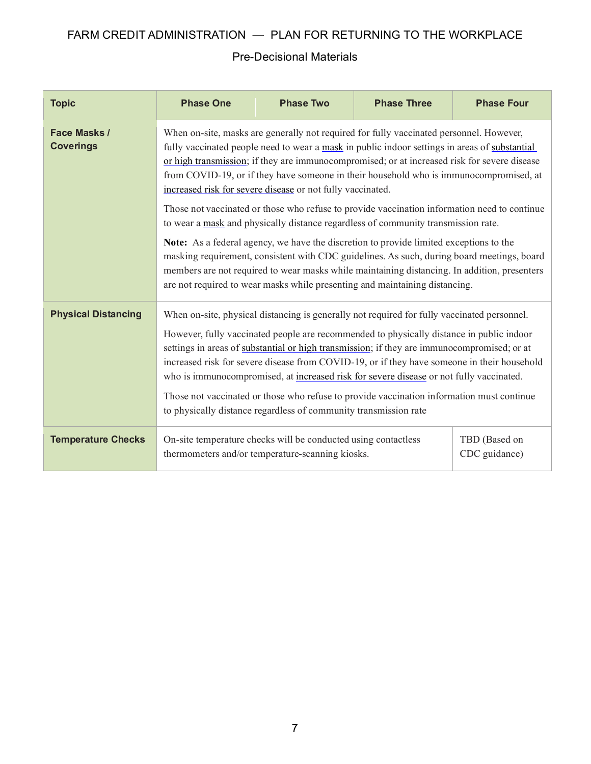<span id="page-6-2"></span><span id="page-6-1"></span><span id="page-6-0"></span>

| <b>Topic</b>                            | <b>Phase One</b>                                                                                                                                                                                                                                                                                                                                                                                                                                                                                                                                                                                                                                                                                                                                                                                                                                                                                                                                                                                                    | <b>Phase Two</b>                                                                                                   | <b>Phase Three</b> | <b>Phase Four</b>              |  |  |
|-----------------------------------------|---------------------------------------------------------------------------------------------------------------------------------------------------------------------------------------------------------------------------------------------------------------------------------------------------------------------------------------------------------------------------------------------------------------------------------------------------------------------------------------------------------------------------------------------------------------------------------------------------------------------------------------------------------------------------------------------------------------------------------------------------------------------------------------------------------------------------------------------------------------------------------------------------------------------------------------------------------------------------------------------------------------------|--------------------------------------------------------------------------------------------------------------------|--------------------|--------------------------------|--|--|
| <b>Face Masks /</b><br><b>Coverings</b> | When on-site, masks are generally not required for fully vaccinated personnel. However,<br>fully vaccinated people need to wear a mask in public indoor settings in areas of substantial<br>or high transmission; if they are immunocompromised; or at increased risk for severe disease<br>from COVID-19, or if they have someone in their household who is immunocompromised, at<br>increased risk for severe disease or not fully vaccinated.<br>Those not vaccinated or those who refuse to provide vaccination information need to continue<br>to wear a mask and physically distance regardless of community transmission rate.<br><b>Note:</b> As a federal agency, we have the discretion to provide limited exceptions to the<br>masking requirement, consistent with CDC guidelines. As such, during board meetings, board<br>members are not required to wear masks while maintaining distancing. In addition, presenters<br>are not required to wear masks while presenting and maintaining distancing. |                                                                                                                    |                    |                                |  |  |
| <b>Physical Distancing</b>              | When on-site, physical distancing is generally not required for fully vaccinated personnel.<br>However, fully vaccinated people are recommended to physically distance in public indoor<br>settings in areas of substantial or high transmission; if they are immunocompromised; or at<br>increased risk for severe disease from COVID-19, or if they have someone in their household<br>who is immunocompromised, at increased risk for severe disease or not fully vaccinated.<br>Those not vaccinated or those who refuse to provide vaccination information must continue<br>to physically distance regardless of community transmission rate                                                                                                                                                                                                                                                                                                                                                                   |                                                                                                                    |                    |                                |  |  |
| <b>Temperature Checks</b>               |                                                                                                                                                                                                                                                                                                                                                                                                                                                                                                                                                                                                                                                                                                                                                                                                                                                                                                                                                                                                                     | On-site temperature checks will be conducted using contactless<br>thermometers and/or temperature-scanning kiosks. |                    | TBD (Based on<br>CDC guidance) |  |  |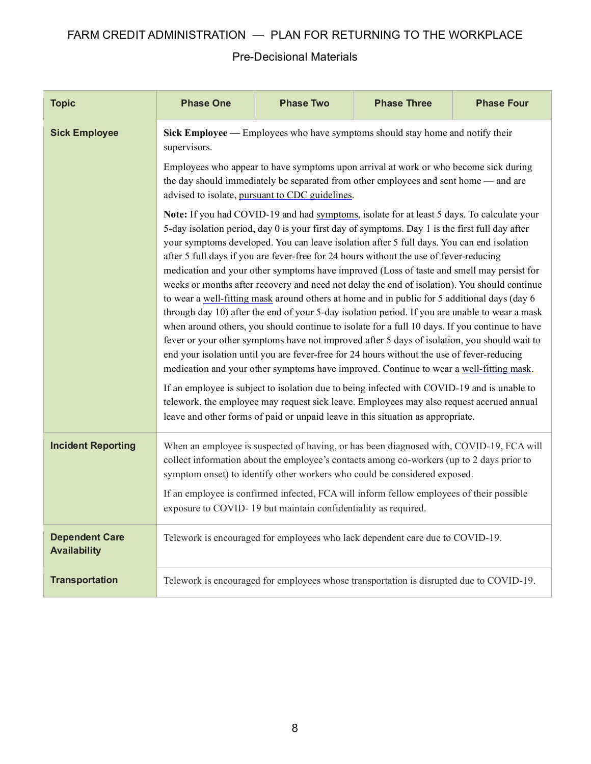<span id="page-7-3"></span><span id="page-7-2"></span><span id="page-7-1"></span><span id="page-7-0"></span>

| <b>Topic</b>                                 | <b>Phase One</b>                                                                                                                                                                                                                                                                                                                                                                                                                                                                                                                                                                                                                                                                                                                                                                                                                                                                                                                                                                                                                                                                                                                                                                                                                                                                                                                                                         | <b>Phase Two</b>                                               | <b>Phase Three</b>                                                                                                                                                                                                                                                                                                                                            | <b>Phase Four</b> |  |  |
|----------------------------------------------|--------------------------------------------------------------------------------------------------------------------------------------------------------------------------------------------------------------------------------------------------------------------------------------------------------------------------------------------------------------------------------------------------------------------------------------------------------------------------------------------------------------------------------------------------------------------------------------------------------------------------------------------------------------------------------------------------------------------------------------------------------------------------------------------------------------------------------------------------------------------------------------------------------------------------------------------------------------------------------------------------------------------------------------------------------------------------------------------------------------------------------------------------------------------------------------------------------------------------------------------------------------------------------------------------------------------------------------------------------------------------|----------------------------------------------------------------|---------------------------------------------------------------------------------------------------------------------------------------------------------------------------------------------------------------------------------------------------------------------------------------------------------------------------------------------------------------|-------------------|--|--|
| <b>Sick Employee</b>                         | supervisors.                                                                                                                                                                                                                                                                                                                                                                                                                                                                                                                                                                                                                                                                                                                                                                                                                                                                                                                                                                                                                                                                                                                                                                                                                                                                                                                                                             |                                                                | Sick Employee — Employees who have symptoms should stay home and notify their                                                                                                                                                                                                                                                                                 |                   |  |  |
|                                              |                                                                                                                                                                                                                                                                                                                                                                                                                                                                                                                                                                                                                                                                                                                                                                                                                                                                                                                                                                                                                                                                                                                                                                                                                                                                                                                                                                          | advised to isolate, pursuant to CDC guidelines.                | Employees who appear to have symptoms upon arrival at work or who become sick during<br>the day should immediately be separated from other employees and sent home — and are                                                                                                                                                                                  |                   |  |  |
|                                              | Note: If you had COVID-19 and had symptoms, isolate for at least 5 days. To calculate your<br>5-day isolation period, day 0 is your first day of symptoms. Day 1 is the first full day after<br>your symptoms developed. You can leave isolation after 5 full days. You can end isolation<br>after 5 full days if you are fever-free for 24 hours without the use of fever-reducing<br>medication and your other symptoms have improved (Loss of taste and smell may persist for<br>weeks or months after recovery and need not delay the end of isolation). You should continue<br>to wear a well-fitting mask around others at home and in public for 5 additional days (day 6<br>through day 10) after the end of your 5-day isolation period. If you are unable to wear a mask<br>when around others, you should continue to isolate for a full 10 days. If you continue to have<br>fever or your other symptoms have not improved after 5 days of isolation, you should wait to<br>end your isolation until you are fever-free for 24 hours without the use of fever-reducing<br>medication and your other symptoms have improved. Continue to wear a well-fitting mask.<br>If an employee is subject to isolation due to being infected with COVID-19 and is unable to<br>telework, the employee may request sick leave. Employees may also request accrued annual |                                                                |                                                                                                                                                                                                                                                                                                                                                               |                   |  |  |
| <b>Incident Reporting</b>                    |                                                                                                                                                                                                                                                                                                                                                                                                                                                                                                                                                                                                                                                                                                                                                                                                                                                                                                                                                                                                                                                                                                                                                                                                                                                                                                                                                                          | exposure to COVID-19 but maintain confidentiality as required. | When an employee is suspected of having, or has been diagnosed with, COVID-19, FCA will<br>collect information about the employee's contacts among co-workers (up to 2 days prior to<br>symptom onset) to identify other workers who could be considered exposed.<br>If an employee is confirmed infected, FCA will inform fellow employees of their possible |                   |  |  |
| <b>Dependent Care</b><br><b>Availability</b> |                                                                                                                                                                                                                                                                                                                                                                                                                                                                                                                                                                                                                                                                                                                                                                                                                                                                                                                                                                                                                                                                                                                                                                                                                                                                                                                                                                          |                                                                | Telework is encouraged for employees who lack dependent care due to COVID-19.                                                                                                                                                                                                                                                                                 |                   |  |  |
| <b>Transportation</b>                        | Telework is encouraged for employees whose transportation is disrupted due to COVID-19.                                                                                                                                                                                                                                                                                                                                                                                                                                                                                                                                                                                                                                                                                                                                                                                                                                                                                                                                                                                                                                                                                                                                                                                                                                                                                  |                                                                |                                                                                                                                                                                                                                                                                                                                                               |                   |  |  |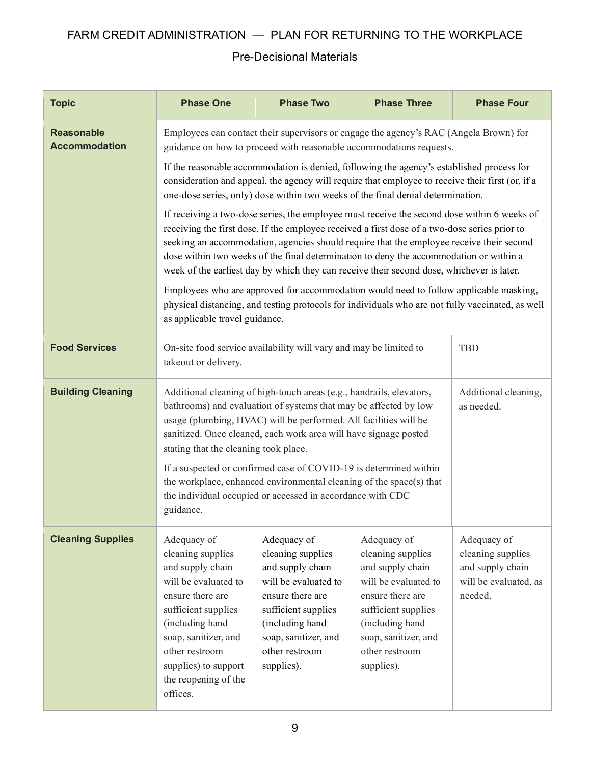<span id="page-8-3"></span><span id="page-8-2"></span><span id="page-8-1"></span><span id="page-8-0"></span>

| <b>Topic</b>                              | <b>Phase One</b>                                                                                                                                                                                                                                                                                                                                                                                                                                                                | <b>Phase Two</b>                                                                                                                                                                                   | <b>Phase Three</b>                                                                                                                                                                                                                                                               | <b>Phase Four</b>                                                                        |  |
|-------------------------------------------|---------------------------------------------------------------------------------------------------------------------------------------------------------------------------------------------------------------------------------------------------------------------------------------------------------------------------------------------------------------------------------------------------------------------------------------------------------------------------------|----------------------------------------------------------------------------------------------------------------------------------------------------------------------------------------------------|----------------------------------------------------------------------------------------------------------------------------------------------------------------------------------------------------------------------------------------------------------------------------------|------------------------------------------------------------------------------------------|--|
| <b>Reasonable</b><br><b>Accommodation</b> |                                                                                                                                                                                                                                                                                                                                                                                                                                                                                 |                                                                                                                                                                                                    | Employees can contact their supervisors or engage the agency's RAC (Angela Brown) for<br>guidance on how to proceed with reasonable accommodations requests.                                                                                                                     |                                                                                          |  |
|                                           |                                                                                                                                                                                                                                                                                                                                                                                                                                                                                 |                                                                                                                                                                                                    | If the reasonable accommodation is denied, following the agency's established process for<br>consideration and appeal, the agency will require that employee to receive their first (or, if a<br>one-dose series, only) dose within two weeks of the final denial determination. |                                                                                          |  |
|                                           | If receiving a two-dose series, the employee must receive the second dose within 6 weeks of<br>receiving the first dose. If the employee received a first dose of a two-dose series prior to<br>seeking an accommodation, agencies should require that the employee receive their second<br>dose within two weeks of the final determination to deny the accommodation or within a<br>week of the earliest day by which they can receive their second dose, whichever is later. |                                                                                                                                                                                                    |                                                                                                                                                                                                                                                                                  |                                                                                          |  |
|                                           | Employees who are approved for accommodation would need to follow applicable masking,<br>physical distancing, and testing protocols for individuals who are not fully vaccinated, as well<br>as applicable travel guidance.                                                                                                                                                                                                                                                     |                                                                                                                                                                                                    |                                                                                                                                                                                                                                                                                  |                                                                                          |  |
| <b>Food Services</b>                      | <b>TBD</b><br>On-site food service availability will vary and may be limited to<br>takeout or delivery.                                                                                                                                                                                                                                                                                                                                                                         |                                                                                                                                                                                                    |                                                                                                                                                                                                                                                                                  |                                                                                          |  |
| <b>Building Cleaning</b>                  | Additional cleaning of high-touch areas (e.g., handrails, elevators,<br>Additional cleaning,<br>bathrooms) and evaluation of systems that may be affected by low<br>as needed.<br>usage (plumbing, HVAC) will be performed. All facilities will be<br>sanitized. Once cleaned, each work area will have signage posted<br>stating that the cleaning took place.                                                                                                                 |                                                                                                                                                                                                    |                                                                                                                                                                                                                                                                                  |                                                                                          |  |
|                                           | If a suspected or confirmed case of COVID-19 is determined within<br>the workplace, enhanced environmental cleaning of the space(s) that<br>the individual occupied or accessed in accordance with CDC<br>guidance.                                                                                                                                                                                                                                                             |                                                                                                                                                                                                    |                                                                                                                                                                                                                                                                                  |                                                                                          |  |
| <b>Cleaning Supplies</b>                  | Adequacy of<br>cleaning supplies<br>and supply chain<br>will be evaluated to<br>ensure there are<br>sufficient supplies<br>(including hand<br>soap, sanitizer, and<br>other restroom<br>supplies) to support<br>the reopening of the<br>offices.                                                                                                                                                                                                                                | Adequacy of<br>cleaning supplies<br>and supply chain<br>will be evaluated to<br>ensure there are<br>sufficient supplies<br>(including hand<br>soap, sanitizer, and<br>other restroom<br>supplies). | Adequacy of<br>cleaning supplies<br>and supply chain<br>will be evaluated to<br>ensure there are<br>sufficient supplies<br>(including hand<br>soap, sanitizer, and<br>other restroom<br>supplies).                                                                               | Adequacy of<br>cleaning supplies<br>and supply chain<br>will be evaluated, as<br>needed. |  |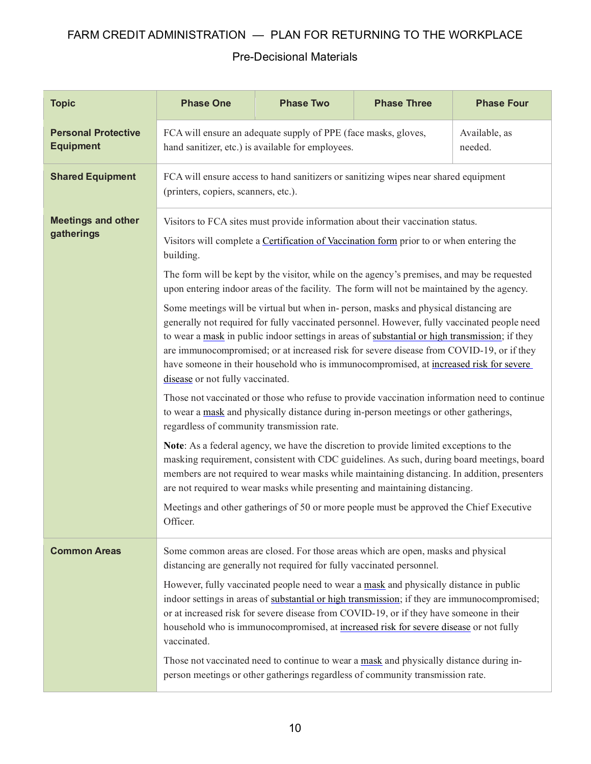<span id="page-9-3"></span><span id="page-9-2"></span><span id="page-9-1"></span><span id="page-9-0"></span>

| <b>Topic</b>                                   | <b>Phase One</b>                                                                                                                                                                                                                                                                                                                                                                                                                                                                                                                                                                                                                                                                                                                                                                                                                                                                                                                                                                                                                                                                                                                                                                                                                                                                                                                                                                                                                                                                                                      | <b>Phase Two</b> | <b>Phase Three</b>                                                                  | <b>Phase Four</b> |  |  |
|------------------------------------------------|-----------------------------------------------------------------------------------------------------------------------------------------------------------------------------------------------------------------------------------------------------------------------------------------------------------------------------------------------------------------------------------------------------------------------------------------------------------------------------------------------------------------------------------------------------------------------------------------------------------------------------------------------------------------------------------------------------------------------------------------------------------------------------------------------------------------------------------------------------------------------------------------------------------------------------------------------------------------------------------------------------------------------------------------------------------------------------------------------------------------------------------------------------------------------------------------------------------------------------------------------------------------------------------------------------------------------------------------------------------------------------------------------------------------------------------------------------------------------------------------------------------------------|------------------|-------------------------------------------------------------------------------------|-------------------|--|--|
| <b>Personal Protective</b><br><b>Equipment</b> | FCA will ensure an adequate supply of PPE (face masks, gloves,<br>Available, as<br>hand sanitizer, etc.) is available for employees.<br>needed.                                                                                                                                                                                                                                                                                                                                                                                                                                                                                                                                                                                                                                                                                                                                                                                                                                                                                                                                                                                                                                                                                                                                                                                                                                                                                                                                                                       |                  |                                                                                     |                   |  |  |
| <b>Shared Equipment</b>                        | (printers, copiers, scanners, etc.).                                                                                                                                                                                                                                                                                                                                                                                                                                                                                                                                                                                                                                                                                                                                                                                                                                                                                                                                                                                                                                                                                                                                                                                                                                                                                                                                                                                                                                                                                  |                  | FCA will ensure access to hand sanitizers or sanitizing wipes near shared equipment |                   |  |  |
| <b>Meetings and other</b><br>gatherings        | Visitors to FCA sites must provide information about their vaccination status.<br>Visitors will complete a Certification of Vaccination form prior to or when entering the<br>building.<br>The form will be kept by the visitor, while on the agency's premises, and may be requested<br>upon entering indoor areas of the facility. The form will not be maintained by the agency.<br>Some meetings will be virtual but when in- person, masks and physical distancing are<br>generally not required for fully vaccinated personnel. However, fully vaccinated people need<br>to wear a mask in public indoor settings in areas of substantial or high transmission; if they<br>are immunocompromised; or at increased risk for severe disease from COVID-19, or if they<br>have someone in their household who is immunocompromised, at increased risk for severe<br>disease or not fully vaccinated.<br>Those not vaccinated or those who refuse to provide vaccination information need to continue<br>to wear a mask and physically distance during in-person meetings or other gatherings,<br>regardless of community transmission rate.<br>Note: As a federal agency, we have the discretion to provide limited exceptions to the<br>masking requirement, consistent with CDC guidelines. As such, during board meetings, board<br>members are not required to wear masks while maintaining distancing. In addition, presenters<br>are not required to wear masks while presenting and maintaining distancing. |                  |                                                                                     |                   |  |  |
| <b>Common Areas</b>                            | Meetings and other gatherings of 50 or more people must be approved the Chief Executive<br>Officer.                                                                                                                                                                                                                                                                                                                                                                                                                                                                                                                                                                                                                                                                                                                                                                                                                                                                                                                                                                                                                                                                                                                                                                                                                                                                                                                                                                                                                   |                  |                                                                                     |                   |  |  |
|                                                | Some common areas are closed. For those areas which are open, masks and physical<br>distancing are generally not required for fully vaccinated personnel.<br>However, fully vaccinated people need to wear a mask and physically distance in public<br>indoor settings in areas of substantial or high transmission; if they are immunocompromised;<br>or at increased risk for severe disease from COVID-19, or if they have someone in their<br>household who is immunocompromised, at increased risk for severe disease or not fully<br>vaccinated.<br>Those not vaccinated need to continue to wear a mask and physically distance during in-<br>person meetings or other gatherings regardless of community transmission rate.                                                                                                                                                                                                                                                                                                                                                                                                                                                                                                                                                                                                                                                                                                                                                                                   |                  |                                                                                     |                   |  |  |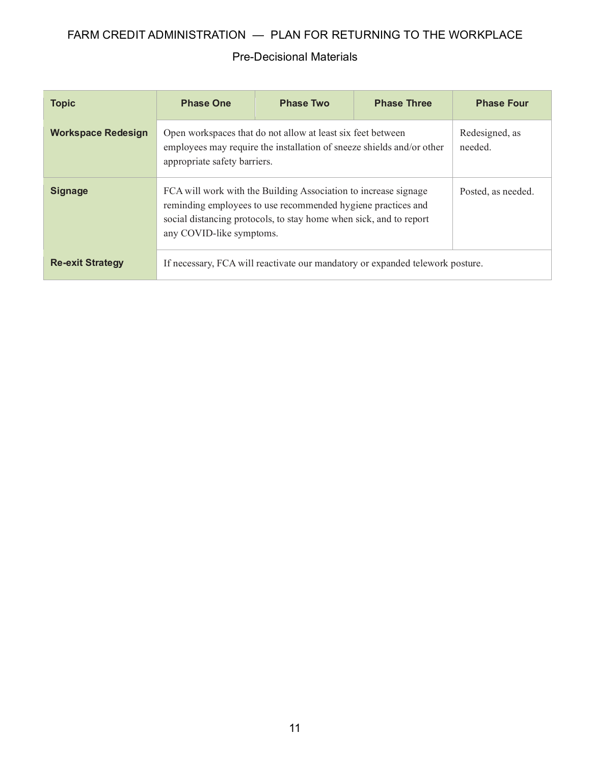<span id="page-10-2"></span><span id="page-10-1"></span><span id="page-10-0"></span>

| <b>Topic</b>              | <b>Phase One</b>                                                                                                                                                     | <b>Phase Two</b>                                                                                                                                                                                                                  | <b>Phase Three</b> | <b>Phase Four</b> |  |
|---------------------------|----------------------------------------------------------------------------------------------------------------------------------------------------------------------|-----------------------------------------------------------------------------------------------------------------------------------------------------------------------------------------------------------------------------------|--------------------|-------------------|--|
| <b>Workspace Redesign</b> | Open workspaces that do not allow at least six feet between<br>employees may require the installation of sneeze shields and/or other<br>appropriate safety barriers. | Redesigned, as<br>needed.                                                                                                                                                                                                         |                    |                   |  |
| <b>Signage</b>            |                                                                                                                                                                      | FCA will work with the Building Association to increase signage<br>reminding employees to use recommended hygiene practices and<br>social distancing protocols, to stay home when sick, and to report<br>any COVID-like symptoms. |                    |                   |  |
| <b>Re-exit Strategy</b>   | If necessary, FCA will reactivate our mandatory or expanded telework posture.                                                                                        |                                                                                                                                                                                                                                   |                    |                   |  |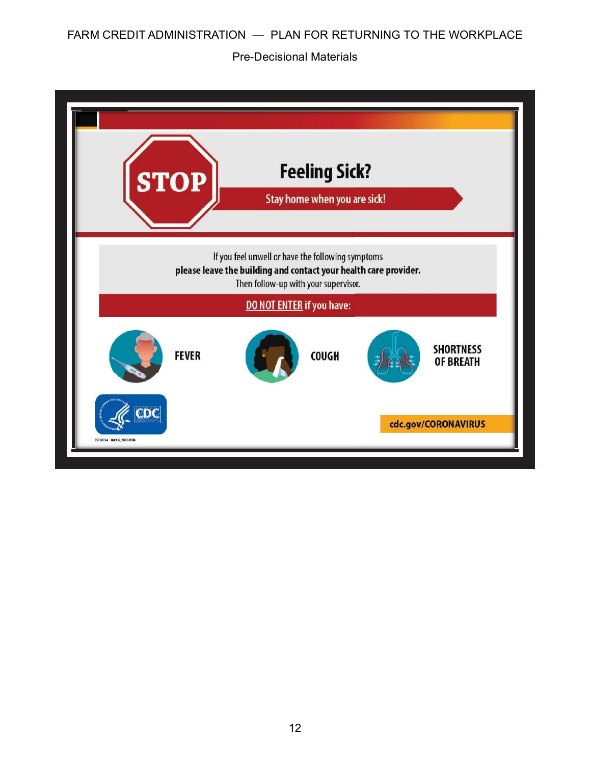| <b>STOP</b>                        | <b>Feeling Sick?</b><br>Stay home when you are sick!                                                                                                          |                                      |
|------------------------------------|---------------------------------------------------------------------------------------------------------------------------------------------------------------|--------------------------------------|
|                                    | If you feel unwell or have the following symptoms<br>please leave the building and contact your health care provider.<br>Then follow-up with your supervisor. |                                      |
|                                    | DO NOT ENTER if you have:                                                                                                                                     |                                      |
| <b>FEVER</b>                       | <b>COUGH</b>                                                                                                                                                  | <b>SHORTNESS</b><br><b>OF BREATH</b> |
| CS316039-A Marth 22, 2020 S. El PM |                                                                                                                                                               | cdc.gov/CORONAVIRUS                  |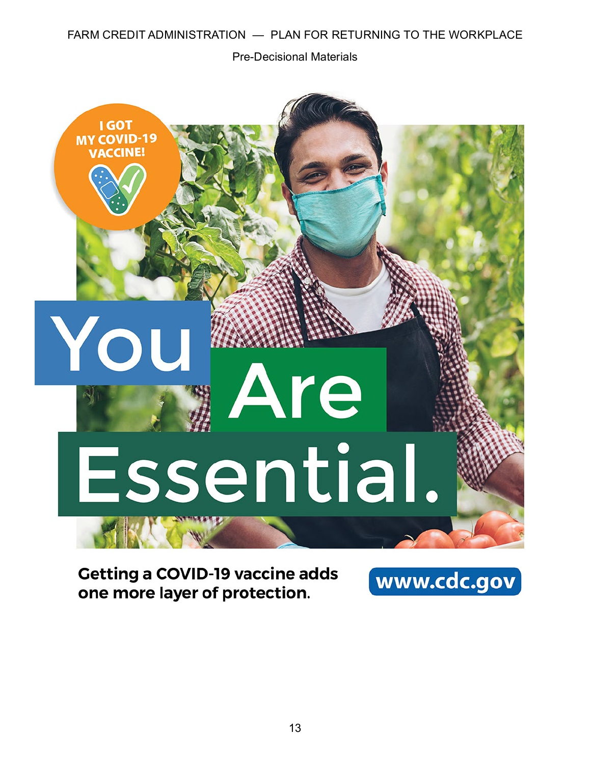Pre-Decisional Materials



**Getting a COVID-19 vaccine adds** one more layer of protection.

www.cdc.gov